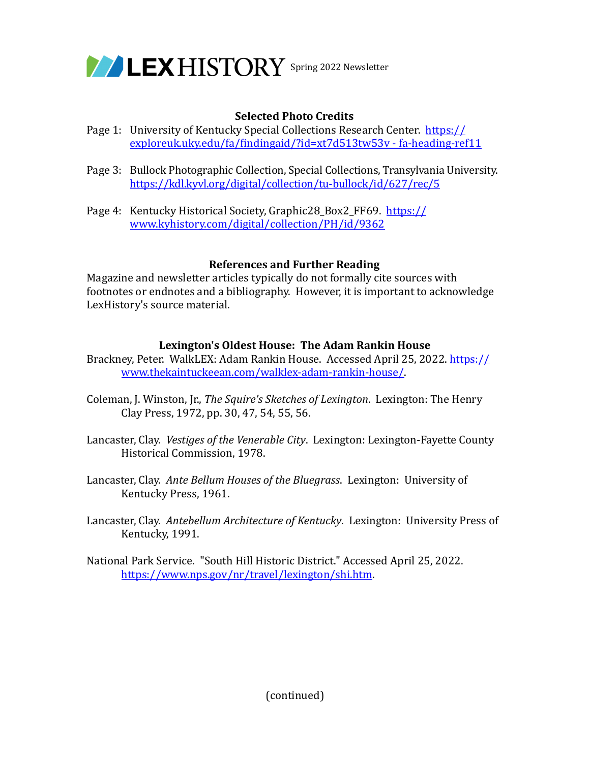

# **Selected Photo Credits**

- Page 1: University of Kentucky Special Collections Research Center. https:// exploreuk.uky.edu/fa/findingaid/?id=xt7d513tw53v - fa-heading-ref11
- Page 3: Bullock Photographic Collection, Special Collections, Transylvania University. <https://kdl.kyvl.org/digital/collection/tu-bullock/id/627/rec/5>
- Page 4: Kentucky Historical Society, Graphic28\_Box2\_FF69. https:// www.kyhistory.com/digital/collection/PH/id/9362

## **References and Further Reading**

Magazine and newsletter articles typically do not formally cite sources with footnotes or endnotes and a bibliography. However, it is important to acknowledge LexHistory's source material.

## Lexington's Oldest House: The Adam Rankin House

Brackney, Peter. WalkLEX: Adam Rankin House. Accessed April 25, 2022. https:// www.thekaintuckeean.com/walklex-adam-rankin-house/. 

- Coleman, J. Winston, Jr., *The Squire's Sketches of Lexington*. Lexington: The Henry Clay Press, 1972, pp. 30, 47, 54, 55, 56.
- Lancaster, Clay. Vestiges of the Venerable City. Lexington: Lexington-Fayette County Historical Commission, 1978.
- Lancaster, Clay. Ante Bellum Houses of the Bluegrass. Lexington: University of Kentucky Press, 1961.
- Lancaster, Clay. Antebellum Architecture of Kentucky. Lexington: University Press of Kentucky, 1991.
- National Park Service. "South Hill Historic District." Accessed April 25, 2022. [https://www.nps.gov/nr/travel/lexington/shi.htm.](https://www.nps.gov/nr/travel/lexington/shi.htm)

(continued)